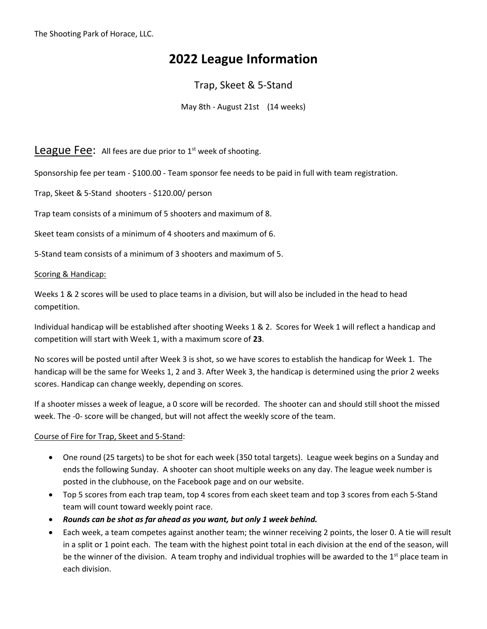The Shooting Park of Horace, LLC.

# **2022 League Information**

## Trap, Skeet & 5-Stand

May 8th - August 21st (14 weeks)

League Fee: All fees are due prior to 1<sup>st</sup> week of shooting.

Sponsorship fee per team - \$100.00 - Team sponsor fee needs to be paid in full with team registration.

Trap, Skeet & 5-Stand shooters - \$120.00/ person

Trap team consists of a minimum of 5 shooters and maximum of 8.

Skeet team consists of a minimum of 4 shooters and maximum of 6.

5-Stand team consists of a minimum of 3 shooters and maximum of 5.

### Scoring & Handicap:

Weeks 1 & 2 scores will be used to place teams in a division, but will also be included in the head to head competition.

Individual handicap will be established after shooting Weeks 1 & 2. Scores for Week 1 will reflect a handicap and competition will start with Week 1, with a maximum score of **23**.

No scores will be posted until after Week 3 is shot, so we have scores to establish the handicap for Week 1. The handicap will be the same for Weeks 1, 2 and 3. After Week 3, the handicap is determined using the prior 2 weeks scores. Handicap can change weekly, depending on scores.

If a shooter misses a week of league, a 0 score will be recorded. The shooter can and should still shoot the missed week. The -0- score will be changed, but will not affect the weekly score of the team.

### Course of Fire for Trap, Skeet and 5-Stand:

- One round (25 targets) to be shot for each week (350 total targets). League week begins on a Sunday and ends the following Sunday. A shooter can shoot multiple weeks on any day. The league week number is posted in the clubhouse, on the Facebook page and on our website.
- Top 5 scores from each trap team, top 4 scores from each skeet team and top 3 scores from each 5-Stand team will count toward weekly point race.
- *Rounds can be shot as far ahead as you want, but only 1 week behind.*
- Each week, a team competes against another team; the winner receiving 2 points, the loser 0. A tie will result in a split or 1 point each. The team with the highest point total in each division at the end of the season, will be the winner of the division. A team trophy and individual trophies will be awarded to the  $1<sup>st</sup>$  place team in each division.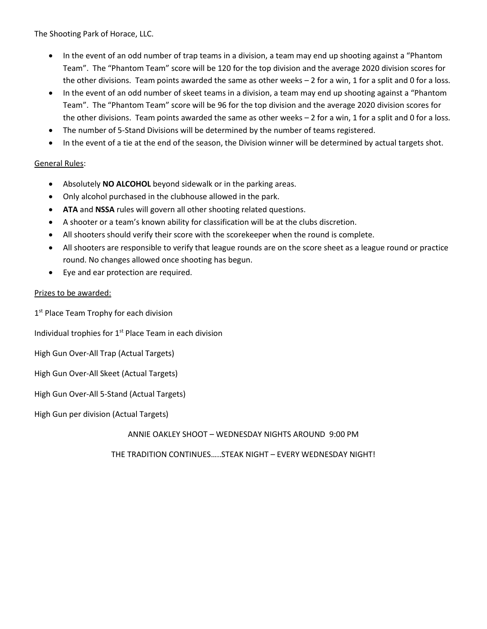The Shooting Park of Horace, LLC.

- In the event of an odd number of trap teams in a division, a team may end up shooting against a "Phantom Team". The "Phantom Team" score will be 120 for the top division and the average 2020 division scores for the other divisions. Team points awarded the same as other weeks – 2 for a win, 1 for a split and 0 for a loss.
- In the event of an odd number of skeet teams in a division, a team may end up shooting against a "Phantom Team". The "Phantom Team" score will be 96 for the top division and the average 2020 division scores for the other divisions. Team points awarded the same as other weeks – 2 for a win, 1 for a split and 0 for a loss.
- The number of 5-Stand Divisions will be determined by the number of teams registered.
- In the event of a tie at the end of the season, the Division winner will be determined by actual targets shot.

### General Rules:

- Absolutely **NO ALCOHOL** beyond sidewalk or in the parking areas.
- Only alcohol purchased in the clubhouse allowed in the park.
- **ATA** and **NSSA** rules will govern all other shooting related questions.
- A shooter or a team's known ability for classification will be at the clubs discretion.
- All shooters should verify their score with the scorekeeper when the round is complete.
- All shooters are responsible to verify that league rounds are on the score sheet as a league round or practice round. No changes allowed once shooting has begun.
- Eye and ear protection are required.

### Prizes to be awarded:

1<sup>st</sup> Place Team Trophy for each division

Individual trophies for  $1<sup>st</sup>$  Place Team in each division

High Gun Over-All Trap (Actual Targets)

High Gun Over-All Skeet (Actual Targets)

High Gun Over-All 5-Stand (Actual Targets)

High Gun per division (Actual Targets)

ANNIE OAKLEY SHOOT – WEDNESDAY NIGHTS AROUND 9:00 PM

THE TRADITION CONTINUES…..STEAK NIGHT – EVERY WEDNESDAY NIGHT!